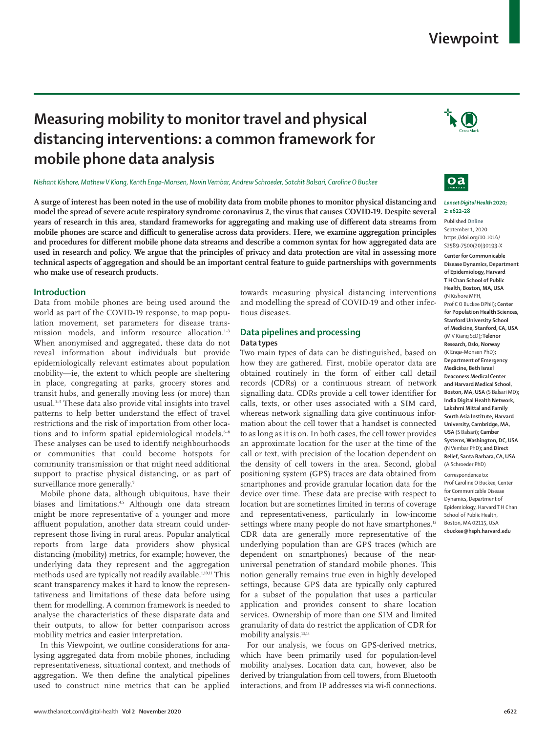# **Viewpoint**

# **Measuring mobility to monitor travel and physical distancing interventions: a common framework for mobile phone data analysis**

*Nishant Kishore, Mathew V Kiang, Kenth Engø-Monsen, Navin Vembar, Andrew Schroeder, Satchit Balsari, Caroline O Buckee*

**A surge of interest has been noted in the use of mobility data from mobile phones to monitor physical distancing and model the spread of severe acute respiratory syndrome coronavirus 2, the virus that causes COVID-19. Despite several years of research in this area, standard frameworks for aggregating and making use of different data streams from mobile phones are scarce and difficult to generalise across data providers. Here, we examine aggregation principles and procedures for different mobile phone data streams and describe a common syntax for how aggregated data are used in research and policy. We argue that the principles of privacy and data protection are vital in assessing more technical aspects of aggregation and should be an important central feature to guide partnerships with governments who make use of research products.**

### **Introduction**

Data from mobile phones are being used around the world as part of the COVID-19 response, to map population movement, set parameters for disease transmission models, and inform resource allocation.<sup>1-3</sup> When anonymised and aggregated, these data do not reveal information about individuals but provide epidemiologically relevant estimates about population mobility—ie, the extent to which people are sheltering in place, congregating at parks, grocery stores and transit hubs, and generally moving less (or more) than usual.3–5 These data also provide vital insights into travel patterns to help better understand the effect of travel restrictions and the risk of importation from other locations and to inform spatial epidemiological models.<sup>6-8</sup> These analyses can be used to identify neighbourhoods or communities that could become hotspots for community transmission or that might need additional support to practise physical distancing, or as part of surveillance more generally.<sup>9</sup>

Mobile phone data, although ubiquitous, have their biases and limitations.<sup>4,5</sup> Although one data stream might be more representative of a younger and more affluent population, another data stream could underrepresent those living in rural areas. Popular analytical reports from large data providers show physical distancing (mobility) metrics, for example; however, the underlying data they represent and the aggregation methods used are typically not readily available.<sup>1,10,11</sup> This scant transparency makes it hard to know the representativeness and limitations of these data before using them for modelling. A common framework is needed to analyse the characteristics of these disparate data and their outputs, to allow for better comparison across mobility metrics and easier interpretation.

In this Viewpoint, we outline considerations for analysing aggregated data from mobile phones, including representativeness, situational context, and methods of aggregation. We then define the analytical pipelines used to construct nine metrics that can be applied towards measuring physical distancing interventions and modelling the spread of COVID-19 and other infectious diseases.

### **Data pipelines and processing Data types**

Two main types of data can be distinguished, based on how they are gathered. First, mobile operator data are obtained routinely in the form of either call detail records (CDRs) or a continuous stream of network signalling data. CDRs provide a cell tower identifier for calls, texts, or other uses associated with a SIM card, whereas network signalling data give continuous information about the cell tower that a handset is connected to as long as it is on. In both cases, the cell tower provides an approximate location for the user at the time of the call or text, with precision of the location dependent on the density of cell towers in the area. Second, global positioning system (GPS) traces are data obtained from smartphones and provide granular location data for the device over time. These data are precise with respect to location but are sometimes limited in terms of coverage and representativeness, particularly in low-income settings where many people do not have smartphones.<sup>12</sup> CDR data are generally more representative of the underlying population than are GPS traces (which are dependent on smartphones) because of the nearuniversal penetration of standard mobile phones. This notion generally remains true even in highly developed settings, because GPS data are typically only captured for a subset of the population that uses a particular application and provides consent to share location services. Ownership of more than one SIM and limited granularity of data do restrict the application of CDR for mobility analysis.<sup>13,14</sup>

For our analysis, we focus on GPS-derived metrics, which have been primarily used for population-level mobility analyses. Location data can, however, also be derived by triangulation from cell towers, from Bluetooth interactions, and from IP addresses via wi-fi connections.





*Lancet Digital Health* **2020; 2: e622–28**

Published **Online** September 1, 2020 https://doi.org/10.1016/ S2589-7500(20)30193-X

**Center for Communicable Disease Dynamics, Department of Epidemiology, Harvard T H Chan School of Public Health, Boston, MA, USA** (N Kishore MPH, Prof C O Buckee DPhil)**; Center for Population Health Sciences, Stanford University School of Medicine, Stanford, CA, USA** (M V Kiang ScD)**; Telenor Research, Oslo, Norway** (K Engø-Monsen PhD)**; Department of Emergency Medicine, Beth Israel Deaconess Medical Center and Harvard Medical School, Boston, MA, USA** (S Balsari MD)**; India Digital Health Network, Lakshmi Mittal and Family South Asia Institute, Harvard University, Cambridge, MA, USA** (S Balsari)**; Camber Systems, Washington, DC, USA** (N Vembar PhD)**; and Direct Relief, Santa Barbara, CA, USA** (A Schroeder PhD)

Correspondence to: Prof Caroline O Buckee, Center for Communicable Disease Dynamics, Department of Epidemiology, Harvard T H Chan School of Public Health, Boston, MA 02115, USA **cbuckee@hsph.harvard.edu**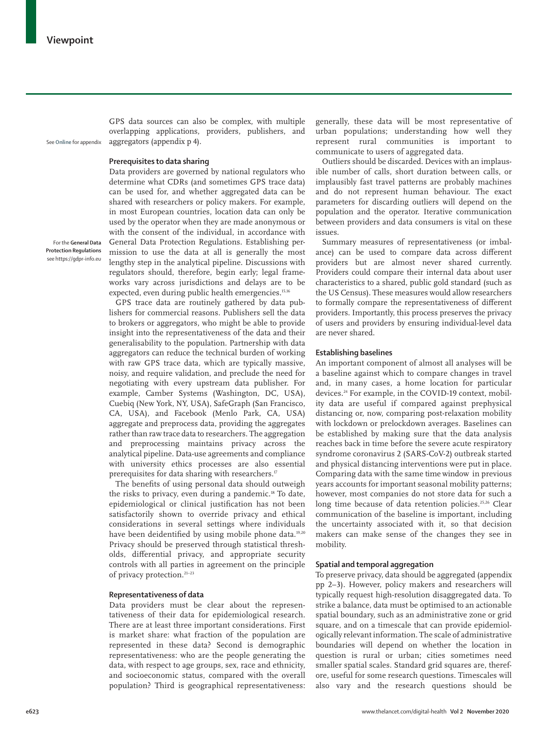See **Online** for appendix

For the **General Data Protection Regulations**  see <https://gdpr-info.eu>

GPS data sources can also be complex, with multiple overlapping applications, providers, publishers, and aggregators (appendix p 4).

#### **Prerequisites to data sharing**

Data providers are governed by national regulators who determine what CDRs (and sometimes GPS trace data) can be used for, and whether aggregated data can be shared with researchers or policy makers. For example, in most European countries, location data can only be used by the operator when they are made anonymous or with the consent of the individual, in accordance with [General Data Protection Regulations](https://gdpr-info.eu). Establishing permission to use the data at all is generally the most lengthy step in the analytical pipeline. Discussions with regulators should, therefore, begin early; legal frameworks vary across jurisdictions and delays are to be expected, even during public health emergencies.15,16

GPS trace data are routinely gathered by data publishers for commercial reasons. Publishers sell the data to brokers or aggregators, who might be able to provide insight into the representativeness of the data and their generalisability to the population. Partnership with data aggregators can reduce the technical burden of working with raw GPS trace data, which are typically massive, noisy, and require validation, and preclude the need for negotiating with every upstream data publisher. For example, Camber Systems (Washington, DC, USA), Cuebiq (New York, NY, USA), SafeGraph (San Francisco, CA, USA), and Facebook (Menlo Park, CA, USA) aggregate and preprocess data, providing the aggregates rather than raw trace data to researchers. The aggregation and preprocessing maintains privacy across the analytical pipeline. Data-use agreements and compliance with university ethics processes are also essential prerequisites for data sharing with researchers.<sup>17</sup>

The benefits of using personal data should outweigh the risks to privacy, even during a pandemic.<sup>18</sup> To date, epidemiological or clinical justification has not been satisfactorily shown to override privacy and ethical considerations in several settings where individuals have been deidentified by using mobile phone data.<sup>19,20</sup> Privacy should be preserved through statistical thresholds, differential privacy, and appropriate security controls with all parties in agreement on the principle of privacy protection.<sup>21-23</sup>

#### **Representativeness of data**

Data providers must be clear about the representativeness of their data for epidemiological research. There are at least three important considerations. First is market share: what fraction of the population are represented in these data? Second is demographic representativeness: who are the people generating the data, with respect to age groups, sex, race and ethnicity, and socioeconomic status, compared with the overall population? Third is geographical representativeness: generally, these data will be most representative of urban populations; understanding how well they represent rural communities is important to communicate to users of aggregated data.

Outliers should be discarded. Devices with an implausible number of calls, short duration between calls, or implausibly fast travel patterns are probably machines and do not represent human behaviour. The exact parameters for discarding outliers will depend on the population and the operator. Iterative communication between providers and data consumers is vital on these issues.

Summary measures of representativeness (or imbalance) can be used to compare data across different providers but are almost never shared currently. Providers could compare their internal data about user characteristics to a shared, public gold standard (such as the US Census). These measures would allow researchers to formally compare the representativeness of different providers. Importantly, this process preserves the privacy of users and providers by ensuring individual-level data are never shared.

#### **Establishing baselines**

An important component of almost all analyses will be a baseline against which to compare changes in travel and, in many cases, a home location for particular devices.24 For example, in the COVID-19 context, mobility data are useful if compared against prephysical distancing or, now, comparing post-relaxation mobility with lockdown or prelockdown averages. Baselines can be established by making sure that the data analysis reaches back in time before the severe acute respiratory syndrome coronavirus 2 (SARS-CoV-2) outbreak started and physical distancing interventions were put in place. Comparing data with the same time window in previous years accounts for important seasonal mobility patterns; however, most companies do not store data for such a long time because of data retention policies.<sup>25,26</sup> Clear communication of the baseline is important, including the uncertainty associated with it, so that decision makers can make sense of the changes they see in mobility.

## **Spatial and temporal aggregation**

To preserve privacy, data should be aggregated (appendix pp 2–3). However, policy makers and researchers will typically request high-resolution disaggregated data. To strike a balance, data must be optimised to an actionable spatial boundary, such as an administrative zone or grid square, and on a timescale that can provide epidemiologically relevant information. The scale of administrative boundaries will depend on whether the location in question is rural or urban; cities sometimes need smaller spatial scales. Standard grid squares are, therefore, useful for some research questions. Timescales will also vary and the research questions should be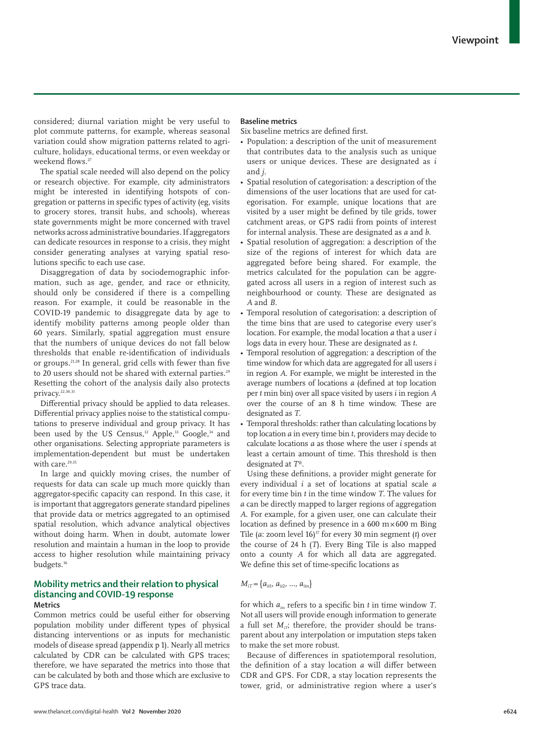considered; diurnal variation might be very useful to plot commute patterns, for example, whereas seasonal variation could show migration patterns related to agriculture, holidays, educational terms, or even weekday or weekend flows.<sup>27</sup>

The spatial scale needed will also depend on the policy or research objective. For example, city administrators might be interested in identifying hotspots of congregation or patterns in specific types of activity (eg, visits to grocery stores, transit hubs, and schools), whereas state governments might be more concerned with travel networks across administrative boundaries. If aggregators can dedicate resources in response to a crisis, they might consider generating analyses at varying spatial resolutions specific to each use case.

Disaggregation of data by sociodemographic information, such as age, gender, and race or ethnicity, should only be considered if there is a compelling reason. For example, it could be reasonable in the COVID-19 pandemic to disaggregate data by age to identify mobility patterns among people older than 60 years. Similarly, spatial aggregation must ensure that the numbers of unique devices do not fall below thresholds that enable re-identification of individuals or groups.21,28 In general, grid cells with fewer than five to 20 users should not be shared with external parties.<sup>29</sup> Resetting the cohort of the analysis daily also protects privacy.22,30,31

Differential privacy should be applied to data releases. Differential privacy applies noise to the statistical computations to preserve individual and group privacy. It has been used by the US Census,<sup>32</sup> Apple,<sup>33</sup> Google,<sup>34</sup> and other organisations. Selecting appropriate parameters is implementation-dependent but must be undertaken with care.<sup>29,35</sup>

In large and quickly moving crises, the number of requests for data can scale up much more quickly than aggregator-specific capacity can respond. In this case, it is important that aggregators generate standard pipelines that provide data or metrics aggregated to an optimised spatial resolution, which advance analytical objectives without doing harm. When in doubt, automate lower resolution and maintain a human in the loop to provide access to higher resolution while maintaining privacy budgets.36

#### **Mobility metrics and their relation to physical distancing and COVID-19 response Metrics**

Common metrics could be useful either for observing population mobility under different types of physical distancing interventions or as inputs for mechanistic models of disease spread (appendix p 1). Nearly all metrics calculated by CDR can be calculated with GPS traces; therefore, we have separated the metrics into those that can be calculated by both and those which are exclusive to GPS trace data.

#### **Baseline metrics**

Six baseline metrics are defined first.

- Population: a description of the unit of measurement that contributes data to the analysis such as unique users or unique devices. These are designated as *i* and *j*.
- Spatial resolution of categorisation: a description of the dimensions of the user locations that are used for categorisation. For example, unique locations that are visited by a user might be defined by tile grids, tower catchment areas, or GPS radii from points of interest for internal analysis. These are designated as *a* and *b*.
- Spatial resolution of aggregation: a description of the size of the regions of interest for which data are aggregated before being shared. For example, the metrics calculated for the population can be aggregated across all users in a region of interest such as neighbourhood or county. These are designated as *A* and *B*.
- Temporal resolution of categorisation: a description of the time bins that are used to categorise every user's location. For example, the modal location *a* that a user *i* logs data in every hour. These are designated as *t*.
- Temporal resolution of aggregation: a description of the time window for which data are aggregated for all users *i* in region *A*. For example, we might be interested in the average numbers of locations *a* (defined at top location per *t* min bin) over all space visited by users *i* in region *A* over the course of an 8 h time window. These are designated as *T*.
- Temporal thresholds: rather than calculating locations by top location *a* in every time bin *t*, providers may decide to calculate locations *a* as those where the user *i* spends at least a certain amount of time. This threshold is then designated at *T\**.

Using these definitions, a provider might generate for every individual *i* a set of locations at spatial scale *a* for every time bin *t* in the time window *T*. The values for *a* can be directly mapped to larger regions of aggregation *A*. For example, for a given user, one can calculate their location as defined by presence in a  $600 \text{ m} \times 600 \text{ m}$  Bing Tile (*a*: zoom level 16)<sup>37</sup> for every 30 min segment (*t*) over the course of 24 h (*T*). Every Bing Tile is also mapped onto a county *A* for which all data are aggregated. We define this set of time-specific locations as

# $M_{iT} = \{a_{it1}, a_{it2}, ..., a_{itn}\}$

for which  $a_{in}$  refers to a specific bin *t* in time window *T*. Not all users will provide enough information to generate a full set  $M_{\nu T}$ ; therefore, the provider should be transparent about any interpolation or imputation steps taken to make the set more robust.

Because of differences in spatiotemporal resolution, the definition of a stay location *a* will differ between CDR and GPS. For CDR, a stay location represents the tower, grid, or administrative region where a user's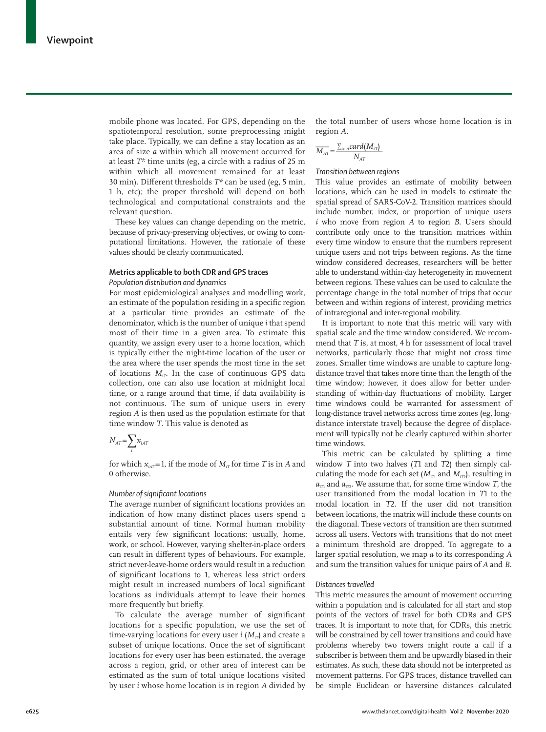mobile phone was located. For GPS, depending on the spatiotemporal resolution, some preprocessing might take place. Typically, we can define a stay location as an area of size *a* within which all movement occurred for at least *T\** time units (eg, a circle with a radius of 25 m within which all movement remained for at least 30 min). Different thresholds *T\** can be used (eg, 5 min, 1 h, etc); the proper threshold will depend on both technological and computational constraints and the relevant question.

These key values can change depending on the metric, because of privacy-preserving objectives, or owing to computational limitations. However, the rationale of these values should be clearly communicated.

#### **Metrics applicable to both CDR and GPS traces** *Population distribution and dynamics*

For most epidemiological analyses and modelling work, an estimate of the population residing in a specific region at a particular time provides an estimate of the denominator, which is the number of unique *i* that spend most of their time in a given area. To estimate this quantity, we assign every user to a home location, which is typically either the night-time location of the user or the area where the user spends the most time in the set of locations  $M_{\tau\tau}$ . In the case of continuous GPS data collection, one can also use location at midnight local time, or a range around that time, if data availability is not continuous. The sum of unique users in every region *A* is then used as the population estimate for that time window *T*. This value is denoted as

$$
N_{AT} = \sum_i x_{iAT}
$$

for which  $x_{iAT} = 1$ , if the mode of  $M_{iT}$  for time *T* is in *A* and 0 otherwise.

#### *Number of significant locations*

The average number of significant locations provides an indication of how many distinct places users spend a substantial amount of time. Normal human mobility entails very few significant locations: usually, home, work, or school. However, varying shelter-in-place orders can result in different types of behaviours. For example, strict never-leave-home orders would result in a reduction of significant locations to 1, whereas less strict orders might result in increased numbers of local significant locations as individuals attempt to leave their homes more frequently but briefly.

To calculate the average number of significant locations for a specific population, we use the set of time-varying locations for every user  $i$  ( $M_{\tau}$ ) and create a subset of unique locations. Once the set of significant locations for every user has been estimated, the average across a region, grid, or other area of interest can be estimated as the sum of total unique locations visited by user *i* whose home location is in region *A* divided by the total number of users whose home location is in region *A*. *He total number*<br>*region A.*<br> $\frac{\sum_{i \in A} \mathcal{C}ard(M_{iT})}{N_{AT}}$ <br>*Transition between re* 

$$
\overline{M_{AT}} = \frac{\sum_{i \in A} card(M_{iT})}{N_{AT}}
$$

*Transition between regions*

This value provides an estimate of mobility between locations, which can be used in models to estimate the spatial spread of SARS-CoV-2. Transition matrices should include number, index, or proportion of unique users *i* who move from region *A* to region *B*. Users should contribute only once to the transition matrices within every time window to ensure that the numbers represent unique users and not trips between regions. As the time window considered decreases, researchers will be better able to understand within-day heterogeneity in movement between regions. These values can be used to calculate the percentage change in the total number of trips that occur between and within regions of interest, providing metrics of intraregional and inter-regional mobility.

It is important to note that this metric will vary with spatial scale and the time window considered. We recommend that *T* is, at most, 4 h for assessment of local travel networks, particularly those that might not cross time zones. Smaller time windows are unable to capture longdistance travel that takes more time than the length of the time window; however, it does allow for better understanding of within-day fluctuations of mobility. Larger time windows could be warranted for assessment of long-distance travel networks across time zones (eg, longdistance interstate travel) because the degree of displacement will typically not be clearly captured within shorter time windows.

This metric can be calculated by splitting a time window *T* into two halves (*T*1 and *T*2) then simply calculating the mode for each set  $(M_{iT1}$  and  $M_{iT2})$ , resulting in  $a_{iT1}$  and  $a_{iT2}$ . We assume that, for some time window *T*, the user transitioned from the modal location in *T*1 to the modal location in *T*2. If the user did not transition between locations, the matrix will include these counts on the diagonal. These vectors of transition are then summed across all users. Vectors with transitions that do not meet a minimum threshold are dropped. To aggregate to a larger spatial resolution, we map *a* to its corresponding *A* and sum the transition values for unique pairs of *A* and *B*.

#### *Distances travelled*

This metric measures the amount of movement occurring within a population and is calculated for all start and stop points of the vectors of travel for both CDRs and GPS traces. It is important to note that, for CDRs, this metric will be constrained by cell tower transitions and could have problems whereby two towers might route a call if a subscriber is between them and be upwardly biased in their estimates. As such, these data should not be interpreted as movement patterns. For GPS traces, distance travelled can be simple Euclidean or haversine distances calculated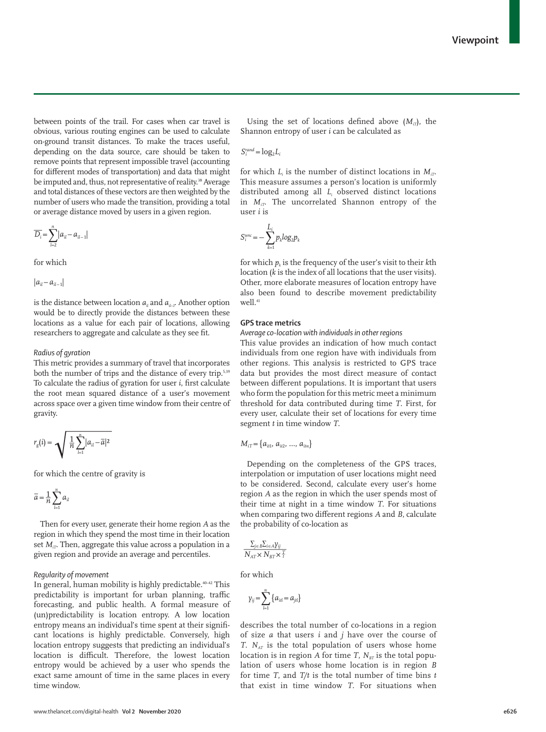between points of the trail. For cases when car travel is obvious, various routing engines can be used to calculate on-ground transit distances. To make the traces useful, depending on the data source, care should be taken to remove points that represent impossible travel (accounting for different modes of transportation) and data that might be imputed and, thus, not representative of reality.<sup>38</sup> Average and total distances of these vectors are then weighted by the number of users who made the transition, providing a total or average distance moved by users in a given region.

$$
\overline{D_i} = \sum_{l=2}^n |a_{il} - a_{il-1}|
$$

for which

 $|a_{il} - a_{il-1}|$ 

is the distance between location  $a_n$  and  $a_{n-1}$ . Another option would be to directly provide the distances between these locations as a value for each pair of locations, allowing researchers to aggregate and calculate as they see fit.

#### *Radius of gyration*

This metric provides a summary of travel that incorporates both the number of trips and the distance of every trip.<sup>5,39</sup> To calculate the radius of gyration for user *i*, first calculate the root mean squared distance of a user's movement across space over a given time window from their centre of gravity. The provides a s<br>number of tring<br>the the radius<br>mean square<br>ace over a give<br> $\frac{1}{n} \sum_{i=1}^{n} |a_{ii} - \overline{a}|^2$ 

$$
r_g(i) = \sqrt{\frac{1}{n} \sum_{i=1}^n |a_{ii} - \overline{a}|^2}
$$

for which the centre of gravity is

$$
\overline{a} = \frac{1}{n} \sum_{l=1}^{n} a_{il}
$$

Then for every user, generate their home region *A* as the region in which they spend the most time in their location set  $M_{\tau}$ . Then, aggregate this value across a population in a given region and provide an average and percentiles.

#### *Regularity of movement*

In general, human mobility is highly predictable.<sup>40-42</sup> This predictability is important for urban planning, traffic forecasting, and public health. A formal measure of (un)predictability is location entropy. A low location entropy means an individual's time spent at their significant locations is highly predictable. Conversely, high location entropy suggests that predicting an individual's location is difficult. Therefore, the lowest location entropy would be achieved by a user who spends the exact same amount of time in the same places in every time window.

Using the set of locations defined above  $(M_{\tau})$ , the Shannon entropy of user *i* can be calculated as

#### $S_i^{rand} = \log_2 L_i$

for which  $L_i$  is the number of distinct locations in  $M_{iT}$ . This measure assumes a person's location is uniformly distributed among all *Li* observed distinct locations in  $M_{ir}$ . The uncorrelated Shannon entropy of the user *i* is

$$
S_i^{unc} = -\sum_{k=1}^{L_i} p_k log_2 p_k
$$

for which  $p_{\iota}$  is the frequency of the user's visit to their  $k\text{th}$ location (*k* is the index of all locations that the user visits). Other, more elaborate measures of location entropy have also been found to describe movement predictability well.<sup>41</sup>

#### **GPS trace metrics**

*Average co-location with individuals in other regions*

This value provides an indication of how much contact individuals from one region have with individuals from other regions. This analysis is restricted to GPS trace data but provides the most direct measure of contact between different populations. It is important that users who form the population for this metric meet a minimum threshold for data contributed during time *T*. First, for every user, calculate their set of locations for every time segment *t* in time window *T*.

$$
M_{iT} = \{a_{it1}, a_{it2}, ..., a_{itn}\}\
$$

Depending on the completeness of the GPS traces, interpolation or imputation of user locations might need to be considered. Second, calculate every user's home region *A* as the region in which the user spends most of their time at night in a time window *T*. For situations when comparing two different regions *A* and *B*, calculate the probability of co-location as  $\frac{\sum_{j\in B}\sum$ their time at night in a time window *T*. For situations when comparing two different regions *A* and *B*, calculate the probability of co-location as

$$
\frac{\sum_{j \in B} \sum_{i \in A} \gamma_{ij}}{N_{AT} \times N_{BT} \times \frac{T}{t}}
$$

for which

$$
y_{ij} = \sum_{l=1}^{n} \{a_{itl} = a_{jtl}\}\
$$

describes the total number of co-locations in a region of size *a* that users *i* and *j* have over the course of *T*. *N<sub>AT</sub>* is the total population of users whose home location is in region  $\overline{A}$  for time *T*,  $N_{BT}$  is the total population of users whose home location is in region *B* for time *T*, and *T/t* is the total number of time bins *t* that exist in time window *T*. For situations when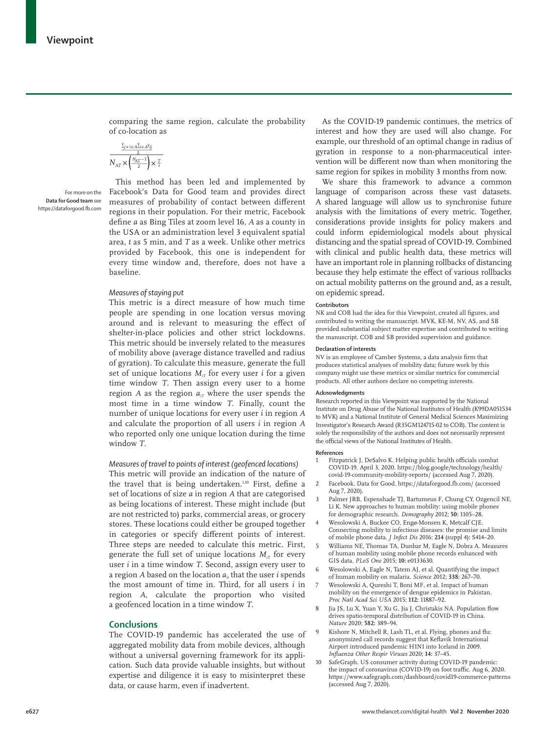comparing the same region, calculate the probability of co-location as

comparing the  
of co-location a  

$$
\frac{\sum_{j\neq i\in A}\sum_{i\in A}y_{ij}}{\sum_{i}\sum_{i}\sum_{i\in A}y_{i}}
$$

For more on the **Data for Good team** see <https://dataforgood.fb.com>

This method has been led and implemented by Facebook's [Data for Good team](https://dataforgood.fb.com) and provides direct measures of probability of contact between different regions in their population. For their metric, Facebook define *a* as Bing Tiles at zoom level 16, *A* as a county in the USA or an administration level 3 equivalent spatial area, *t* as 5 min, and *T* as a week. Unlike other metrics provided by Facebook, this one is independent for every time window and, therefore, does not have a baseline.

#### *Measures of staying put*

This metric is a direct measure of how much time people are spending in one location versus moving around and is relevant to measuring the effect of shelter-in-place policies and other strict lockdowns. This metric should be inversely related to the measures of mobility above (average distance travelled and radius of gyration). To calculate this measure, generate the full set of unique locations  $M_{ir}$  for every user *i* for a given time window *T*. Then assign every user to a home region *A* as the region  $a_{iT}$  where the user spends the most time in a time window *T*. Finally, count the number of unique locations for every user *i* in region *A* and calculate the proportion of all users *i* in region *A* who reported only one unique location during the time window *T*.

#### *Measures of travel to points of interest (geofenced locations)*

This metric will provide an indication of the nature of the travel that is being undertaken.<sup>1,10</sup> First, define a set of locations of size *a* in region *A* that are categorised as being locations of interest. These might include (but are not restricted to) parks, commercial areas, or grocery stores. These locations could either be grouped together in categories or specify different points of interest. Three steps are needed to calculate this metric. First, generate the full set of unique locations  $M_{ir}$  for every user *i* in a time window *T*. Second, assign every user to a region *A* based on the location  $a_i$  that the user *i* spends the most amount of time in. Third, for all users *i* in region *A*, calculate the proportion who visited a geofenced location in a time window *T*.

#### **Conclusions**

The COVID-19 pandemic has accelerated the use of aggregated mobility data from mobile devices, although without a universal governing framework for its application. Such data provide valuable insights, but without expertise and diligence it is easy to misinterpret these data, or cause harm, even if inadvertent.

As the COVID-19 pandemic continues, the metrics of interest and how they are used will also change. For example, our threshold of an optimal change in radius of gyration in response to a non-pharmaceutical intervention will be different now than when monitoring the same region for spikes in mobility 3 months from now.

We share this framework to advance a common language of comparison across these vast datasets. A shared language will allow us to synchronise future analysis with the limitations of every metric. Together, considerations provide insights for policy makers and could inform epidemiological models about physical distancing and the spatial spread of COVID-19. Combined with clinical and public health data, these metrics will have an important role in planning rollbacks of distancing because they help estimate the effect of various rollbacks on actual mobility patterns on the ground and, as a result, on epidemic spread.

#### **Contributors**

NK and COB had the idea for this Viewpoint, created all figures, and contributed to writing the manuscript. MVK, KE-M, NV, AS, and SB provided substantial subject matter expertise and contributed to writing the manuscript. COB and SB provided supervision and guidance.

#### **Declaration of interests**

NV is an employee of Camber Systems, a data analysis firm that produces statistical analyses of mobility data; future work by this company might use these metrics or similar metrics for commercial products. All other authors declare no competing interests.

#### **Acknowledgments**

Research reported in this Viewpoint was supported by the National Institute on Drug Abuse of the National Institutes of Health (K99DA051534 to MVK) and a National Institute of General Medical Sciences Maximizing Investigator's Research Award (R35GM124715-02 to COB). The content is solely the responsibility of the authors and does not necessarily represent the official views of the National Institutes of Health.

#### **References**

- Fitzpatrick J, DeSalvo K. Helping public health officials combat COVID-19. April 3, 2020. https://blog.google/technology/health/ covid-19-community-mobility-reports/ (accessed Aug 7, 2020).
- 2 Facebook. Data for Good. https://dataforgood.fb.com/ (accessed Aug 7, 2020).
- 3 Palmer JRB, Espenshade TJ, Bartumeus F, Chung CY, Ozgencil NE, Li K. New approaches to human mobility: using mobile phones for demographic research. *Demography* 2012; **50:** 1105–28.
- Wesolowski A, Buckee CO, Engø-Monsen K, Metcalf CJE. Connecting mobility to infectious diseases: the promise and limits of mobile phone data. *J Infect Dis* 2016; **214** (suppl 4)**:** S414–20.
- 5 Williams NE, Thomas TA, Dunbar M, Eagle N, Dobra A. Measures of human mobility using mobile phone records enhanced with GIS data. *PLoS One* 2015; **10:** e0133630.
- Wesolowski A, Eagle N, Tatem AJ, et al. Quantifying the impact of human mobility on malaria. *Science* 2012; **338:** 267–70.
- 7 Wesolowski A, Qureshi T, Boni MF, et al. Impact of human mobility on the emergence of dengue epidemics in Pakistan. *Proc Natl Acad Sci USA* 2015; **112:** 11887–92.
- 8 Jia JS, Lu X, Yuan Y, Xu G, Jia J, Christakis NA. Population flow drives spatio-temporal distribution of COVID-19 in China. *Nature* 2020; **582:** 389–94.
- Kishore N, Mitchell R, Lash TL, et al. Flying, phones and flu: anonymized call records suggest that Keflavik International Airport introduced pandemic H1N1 into Iceland in 2009. *Influenza Other Respir Viruses* 2020; **14:** 37–45.
- 10 SafeGraph. US consumer activity during COVID-19 pandemic: the impact of coronavirus (COVID-19) on foot traffic. Aug 6, 2020. https://www.safegraph.com/dashboard/covid19-commerce-patterns (accessed Aug 7, 2020).